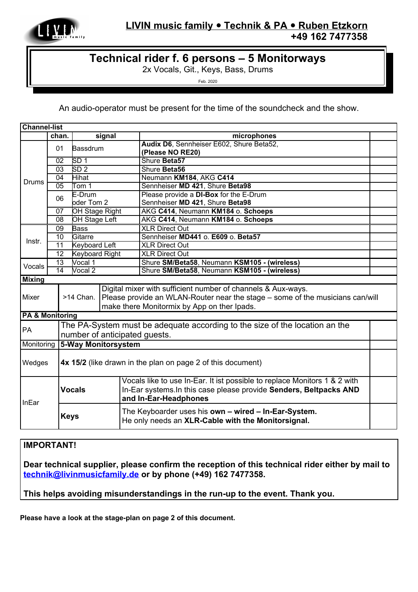

## **L IVIN music family Technik & PA Ruben Etzkorn +49 162 7477358**

## **Technical rider f. 6 persons – 5 Monitorways**

2x Vocals, Git., Keys, Bass, Drums

Feb. 2020

An audio-operator must be present for the time of the soundcheck and the show.

| <b>Channel-list</b>                      |                                                                       |                                                                             |  |                                                                                                                                                                          |  |
|------------------------------------------|-----------------------------------------------------------------------|-----------------------------------------------------------------------------|--|--------------------------------------------------------------------------------------------------------------------------------------------------------------------------|--|
|                                          | chan.                                                                 | signal                                                                      |  | microphones                                                                                                                                                              |  |
| <b>Drums</b>                             | 01                                                                    | <b>Bassdrum</b>                                                             |  | Audix D6, Sennheiser E602, Shure Beta52,<br>(Please NO RE20)                                                                                                             |  |
|                                          | 02                                                                    | SD <sub>1</sub>                                                             |  | Shure Beta57                                                                                                                                                             |  |
|                                          | 03                                                                    | SD <sub>2</sub>                                                             |  | Shure Beta56                                                                                                                                                             |  |
|                                          | 04                                                                    | Hihat                                                                       |  | Neumann KM184, AKG C414                                                                                                                                                  |  |
|                                          | 05                                                                    | Tom 1                                                                       |  | Sennheiser MD 421, Shure Beta98                                                                                                                                          |  |
|                                          | 06                                                                    | $E-Drum$<br>oder Tom 2                                                      |  | Please provide a DI-Box for the E-Drum<br>Sennheiser MD 421, Shure Beta98                                                                                                |  |
|                                          | 07                                                                    | OH Stage Right                                                              |  | AKG C414, Neumann KM184 o. Schoeps                                                                                                                                       |  |
|                                          | 08                                                                    | OH Stage Left                                                               |  | AKG C414, Neumann KM184 o. Schoeps                                                                                                                                       |  |
| Instr.<br>Vocals                         | 09                                                                    | <b>Bass</b>                                                                 |  | <b>XLR Direct Out</b>                                                                                                                                                    |  |
|                                          | 10                                                                    | Gitarre                                                                     |  | Sennheiser MD441 o. E609 o. Beta57                                                                                                                                       |  |
|                                          | 11                                                                    | <b>Keyboard Left</b>                                                        |  | <b>XLR Direct Out</b>                                                                                                                                                    |  |
|                                          | $\overline{12}$                                                       | <b>Keyboard Right</b>                                                       |  | <b>XLR Direct Out</b>                                                                                                                                                    |  |
|                                          |                                                                       | 13<br>Vocal 1                                                               |  | Shure SM/Beta58, Neumann KSM105 - (wireless)                                                                                                                             |  |
|                                          | 14                                                                    | Vocal 2                                                                     |  | Shure SM/Beta58, Neumann KSM105 - (wireless)                                                                                                                             |  |
| <b>Mixing</b>                            |                                                                       |                                                                             |  |                                                                                                                                                                          |  |
|                                          |                                                                       |                                                                             |  | Digital mixer with sufficient number of channels & Aux-ways.                                                                                                             |  |
| Mixer                                    |                                                                       |                                                                             |  | >14 Chan.   Please provide an WLAN-Router near the stage – some of the musicians can/will                                                                                |  |
|                                          |                                                                       |                                                                             |  | make there Monitormix by App on ther Ipads.                                                                                                                              |  |
| <b>PA &amp; Monitoring</b>               |                                                                       |                                                                             |  |                                                                                                                                                                          |  |
| PA                                       |                                                                       | The PA-System must be adequate according to the size of the location an the |  |                                                                                                                                                                          |  |
|                                          |                                                                       | number of anticipated guests.                                               |  |                                                                                                                                                                          |  |
| Monitoring<br><b>5-Way Monitorsystem</b> |                                                                       |                                                                             |  |                                                                                                                                                                          |  |
|                                          | Wedges<br>4x 15/2 (like drawn in the plan on page 2 of this document) |                                                                             |  |                                                                                                                                                                          |  |
| InEar                                    |                                                                       | <b>Vocals</b>                                                               |  | Vocals like to use In-Ear. It ist possible to replace Monitors 1 & 2 with<br>In-Ear systems. In this case please provide Senders, Beltpacks AND<br>and In-Ear-Headphones |  |
|                                          |                                                                       | <b>Keys</b>                                                                 |  | The Keyboarder uses his own - wired - In-Ear-System.<br>He only needs an XLR-Cable with the Monitorsignal.                                                               |  |

## **IMPORTANT!**

**Dear technical supplier, please confirm the reception of this technical rider either by mail to [technik@livinmusicfamily.de](mailto:technik@livinmusicfamily.de) or by phone (+49) 162 7477358.**

## **This helps avoiding misunderstandings in the run-up to the event. Thank you.**

**Please have a look at the stage-plan on page 2 of this document.**